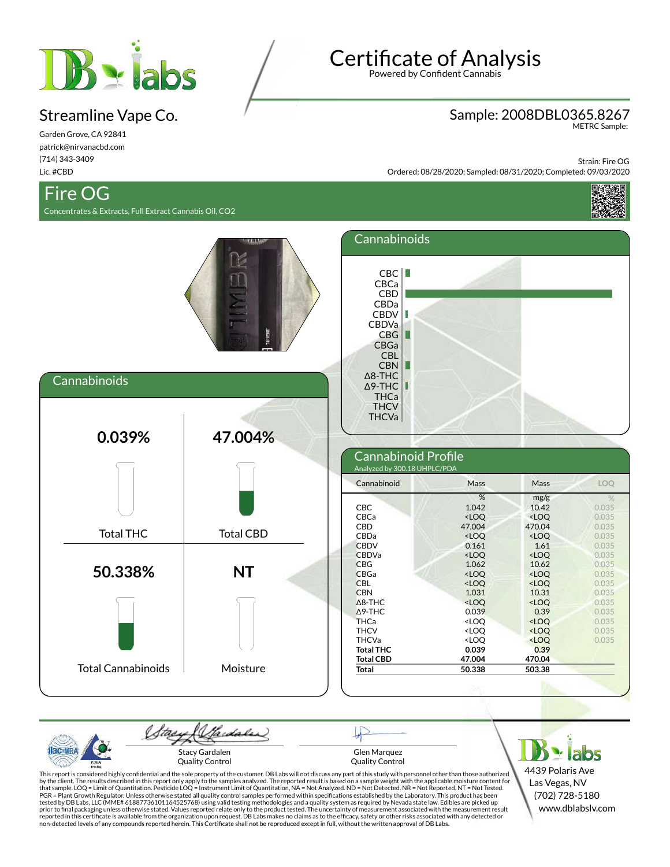

## Streamline Vape Co.

Garden Grove, CA 92841 patrick@nirvanacbd.com (714) 343-3409 Lic. #CBD

# Fire OG

Concentrates & Extracts, Full Extract Cannabis Oil, CO2

**Certificate of Analysis** 

Powered by Confident Cannabis

#### Sample: 2008DBL0365.8267

METRC Sample:

Strain: Fire OG Ordered: 08/28/2020; Sampled: 08/31/2020; Completed: 09/03/2020





| <b>P.H.A</b> | Stacy Gardalen<br>Quality Control                                                                                                                                               | Glen Marquez<br>Ouality Control |  |                  |  |
|--------------|---------------------------------------------------------------------------------------------------------------------------------------------------------------------------------|---------------------------------|--|------------------|--|
| Testing<br>. | This report is considered highly confidential and the sole property of the customer. DB Labs will not discuss any part of this study with personnel other than those authorized |                                 |  | 4439 Polaris Ave |  |

This report is considered highly confidential and the sole property of the customer. DB Labs will not discuss any part of this study with personnel other than those authorized<br>by the client. The results described in this r that sample. LOQ = Limit of Quantitation. Pesticide LOQ = Instrument Limit of Quantitation, NA = Not Analyzed. ND = Not Detected. NR = Not Reported. NT = Not Tested.<br>PGR = Plant Growth Regulator. Unless otherwise stated al tested by DB Labs, LLC (MME# 61887736101164525768) using valid testing methodologies and a quality system as required by Nevada state law. Edibles are picked up<br>prior to final packaging unless otherwise stated. Values repo